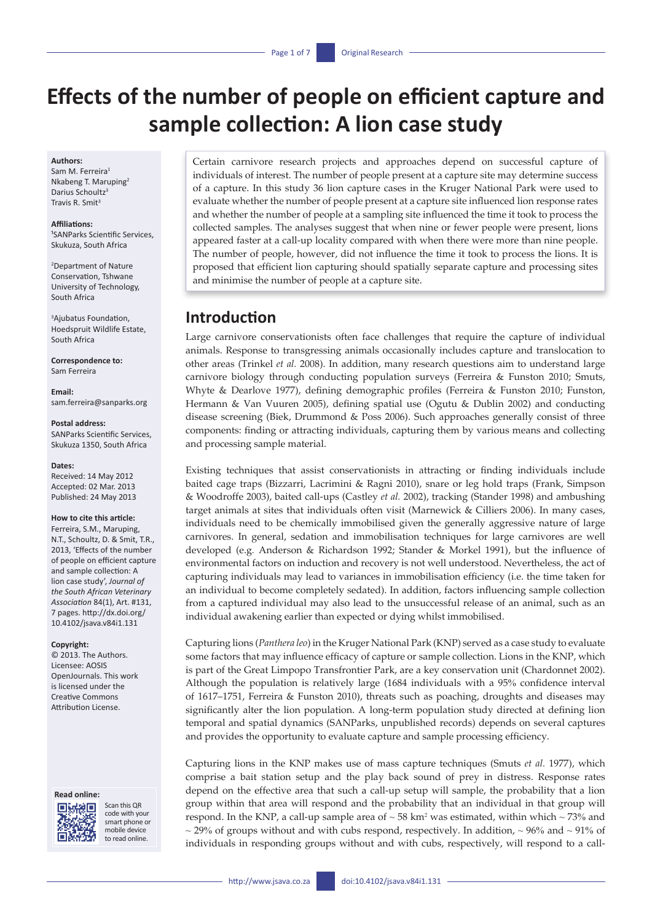# **Effects of the number of people on efficient capture and sample collection: A lion case study**

### **Authors:**

Sam M. Ferreira1 Nkabeng T. Maruping2 Darius Schoultz3 Travis R. Smit<sup>3</sup>

### **Affiliations:**

<sup>1</sup>SANParks Scientific Services, Skukuza, South Africa

2 Department of Nature Conservation, Tshwane University of Technology, South Africa

3 Ajubatus Foundation, Hoedspruit Wildlife Estate, South Africa

**Correspondence to:** Sam Ferreira

**Email:** [sam.ferreira@sanparks.org](mailto:sam.ferreira@sanparks.org)

#### **Postal address:**

SANParks Scientific Services, Skukuza 1350, South Africa

#### **Dates:**

Received: 14 May 2012 Accepted: 02 Mar. 2013 Published: 24 May 2013

### **How to cite this article:**

Ferreira, S.M., Maruping, N.T., Schoultz, D. & Smit, T.R., 2013, 'Effects of the number of people on efficient capture and sample collection: A lion case study', *Journal of the South African Veterinary Association* 84(1), Art. #131, 7 pages. [http://dx.doi.org/](http://dx.doi.org/10.4102/jsava.v84i1.131)  [10.4102/jsava.v84i1.131](http://dx.doi.org/10.4102/jsava.v84i1.131)

#### **Copyright:**

© 2013. The Authors. Licensee: AOSIS OpenJournals. This work is licensed under the Creative Commons Attribution License.

### **Read online:**



Scan this QR code with your smart phone or mobile device to read online.

Certain carnivore research projects and approaches depend on successful capture of individuals of interest. The number of people present at a capture site may determine success of a capture. In this study 36 lion capture cases in the Kruger National Park were used to evaluate whether the number of people present at a capture site influenced lion response rates and whether the number of people at a sampling site influenced the time it took to process the collected samples. The analyses suggest that when nine or fewer people were present, lions appeared faster at a call-up locality compared with when there were more than nine people. The number of people, however, did not influence the time it took to process the lions. It is proposed that efficient lion capturing should spatially separate capture and processing sites and minimise the number of people at a capture site.

# **Introduction**

Large carnivore conservationists often face challenges that require the capture of individual animals. Response to transgressing animals occasionally includes capture and translocation to other areas (Trinkel *et al.* 2008). In addition, many research questions aim to understand large carnivore biology through conducting population surveys (Ferreira & Funston 2010; Smuts, Whyte & Dearlove 1977), defining demographic profiles (Ferreira & Funston 2010; Funston, Hermann & Van Vuuren 2005), defining spatial use (Ogutu & Dublin 2002) and conducting disease screening (Biek, Drummond & Poss 2006). Such approaches generally consist of three components: finding or attracting individuals, capturing them by various means and collecting and processing sample material.

Existing techniques that assist conservationists in attracting or finding individuals include baited cage traps (Bizzarri, Lacrimini & Ragni 2010), snare or leg hold traps (Frank, Simpson & Woodroffe 2003), baited call-ups (Castley *et al.* 2002), tracking (Stander 1998) and ambushing target animals at sites that individuals often visit (Marnewick & Cilliers 2006). In many cases, individuals need to be chemically immobilised given the generally aggressive nature of large carnivores. In general, sedation and immobilisation techniques for large carnivores are well developed (e.g*.* Anderson & Richardson 1992; Stander & Morkel 1991), but the influence of environmental factors on induction and recovery is not well understood. Nevertheless, the act of capturing individuals may lead to variances in immobilisation efficiency (i.e. the time taken for an individual to become completely sedated). In addition, factors influencing sample collection from a captured individual may also lead to the unsuccessful release of an animal, such as an individual awakening earlier than expected or dying whilst immobilised.

Capturing lions (*Panthera leo*) in the Kruger National Park (KNP) served as a case study to evaluate some factors that may influence efficacy of capture or sample collection. Lions in the KNP, which is part of the Great Limpopo Transfrontier Park, are a key conservation unit (Chardonnet 2002). Although the population is relatively large (1684 individuals with a 95% confidence interval of 1617–1751, Ferreira & Funston 2010), threats such as poaching, droughts and diseases may significantly alter the lion population. A long-term population study directed at defining lion temporal and spatial dynamics (SANParks, unpublished records) depends on several captures and provides the opportunity to evaluate capture and sample processing efficiency.

Capturing lions in the KNP makes use of mass capture techniques (Smuts *et al.* 1977), which comprise a bait station setup and the play back sound of prey in distress. Response rates depend on the effective area that such a call-up setup will sample, the probability that a lion group within that area will respond and the probability that an individual in that group will respond. In the KNP, a call-up sample area of  $\sim$  58 km<sup>2</sup> was estimated, within which  $\sim$  73% and  $\sim$  29% of groups without and with cubs respond, respectively. In addition,  $\sim$  96% and  $\sim$  91% of individuals in responding groups without and with cubs, respectively, will respond to a call-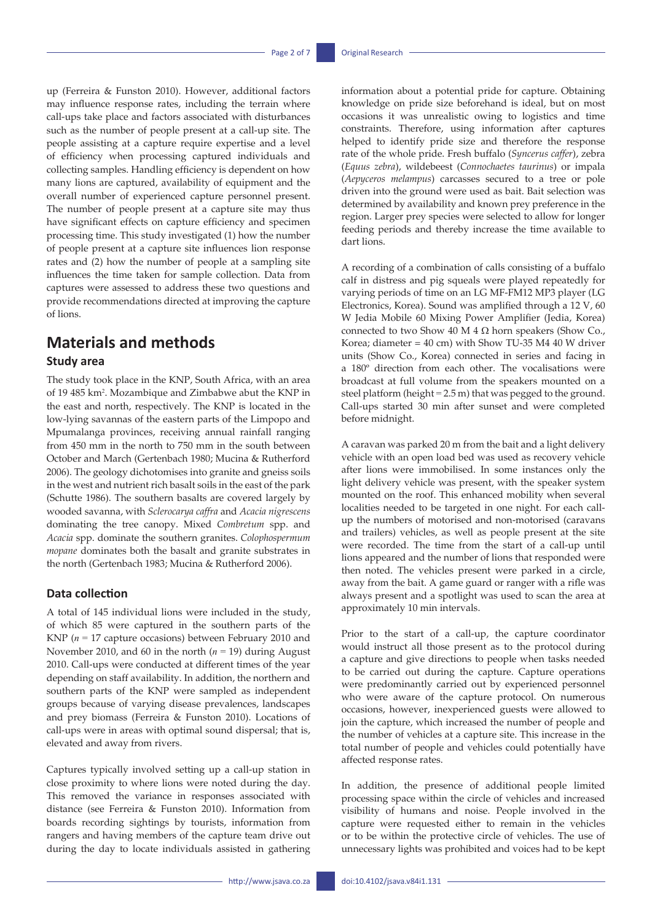up (Ferreira & Funston 2010). However, additional factors may influence response rates, including the terrain where call-ups take place and factors associated with disturbances such as the number of people present at a call-up site. The people assisting at a capture require expertise and a level of efficiency when processing captured individuals and collecting samples. Handling efficiency is dependent on how many lions are captured, availability of equipment and the overall number of experienced capture personnel present. The number of people present at a capture site may thus have significant effects on capture efficiency and specimen processing time. This study investigated (1) how the number of people present at a capture site influences lion response rates and (2) how the number of people at a sampling site influences the time taken for sample collection. Data from captures were assessed to address these two questions and provide recommendations directed at improving the capture of lions.

# **Materials and methods Study area**

The study took place in the KNP, South Africa, with an area of 19 485 km<sup>2</sup> . Mozambique and Zimbabwe abut the KNP in the east and north, respectively. The KNP is located in the low-lying savannas of the eastern parts of the Limpopo and Mpumalanga provinces, receiving annual rainfall ranging from 450 mm in the north to 750 mm in the south between October and March (Gertenbach 1980; Mucina & Rutherford 2006). The geology dichotomises into granite and gneiss soils in the west and nutrient rich basalt soils in the east of the park (Schutte 1986). The southern basalts are covered largely by wooded savanna, with *Sclerocarya caffra* and *Acacia nigrescens* dominating the tree canopy. Mixed *Combretum* spp. and *Acacia* spp. dominate the southern granites. *Colophospermum mopane* dominates both the basalt and granite substrates in the north (Gertenbach 1983; Mucina & Rutherford 2006).

### **Data collection**

A total of 145 individual lions were included in the study, of which 85 were captured in the southern parts of the KNP (*n* = 17 capture occasions) between February 2010 and November 2010, and 60 in the north (*n* = 19) during August 2010. Call-ups were conducted at different times of the year depending on staff availability. In addition, the northern and southern parts of the KNP were sampled as independent groups because of varying disease prevalences, landscapes and prey biomass (Ferreira & Funston 2010). Locations of call-ups were in areas with optimal sound dispersal; that is, elevated and away from rivers.

Captures typically involved setting up a call-up station in close proximity to where lions were noted during the day. This removed the variance in responses associated with distance (see Ferreira & Funston 2010). Information from boards recording sightings by tourists, information from rangers and having members of the capture team drive out during the day to locate individuals assisted in gathering

information about a potential pride for capture. Obtaining knowledge on pride size beforehand is ideal, but on most occasions it was unrealistic owing to logistics and time constraints. Therefore, using information after captures helped to identify pride size and therefore the response rate of the whole pride. Fresh buffalo (*Syncerus caffer*), zebra (*Equus zebra*), wildebeest (*Connochaetes taurinus*) or impala (*Aepyceros melampus*) carcasses secured to a tree or pole driven into the ground were used as bait. Bait selection was determined by availability and known prey preference in the region. Larger prey species were selected to allow for longer feeding periods and thereby increase the time available to dart lions.

A recording of a combination of calls consisting of a buffalo calf in distress and pig squeals were played repeatedly for varying periods of time on an LG MF-FM12 MP3 player (LG Electronics, Korea). Sound was amplified through a 12 V, 60 W Jedia Mobile 60 Mixing Power Amplifier (Jedia, Korea) connected to two Show 40 M 4  $\Omega$  horn speakers (Show Co., Korea; diameter = 40 cm) with Show TU-35 M4 40 W driver units (Show Co., Korea) connected in series and facing in a 180º direction from each other. The vocalisations were broadcast at full volume from the speakers mounted on a steel platform (height = 2.5 m) that was pegged to the ground. Call-ups started 30 min after sunset and were completed before midnight.

A caravan was parked 20 m from the bait and a light delivery vehicle with an open load bed was used as recovery vehicle after lions were immobilised. In some instances only the light delivery vehicle was present, with the speaker system mounted on the roof. This enhanced mobility when several localities needed to be targeted in one night. For each callup the numbers of motorised and non-motorised (caravans and trailers) vehicles, as well as people present at the site were recorded. The time from the start of a call-up until lions appeared and the number of lions that responded were then noted. The vehicles present were parked in a circle, away from the bait. A game guard or ranger with a rifle was always present and a spotlight was used to scan the area at approximately 10 min intervals.

Prior to the start of a call-up, the capture coordinator would instruct all those present as to the protocol during a capture and give directions to people when tasks needed to be carried out during the capture. Capture operations were predominantly carried out by experienced personnel who were aware of the capture protocol. On numerous occasions, however, inexperienced guests were allowed to join the capture, which increased the number of people and the number of vehicles at a capture site. This increase in the total number of people and vehicles could potentially have affected response rates.

In addition, the presence of additional people limited processing space within the circle of vehicles and increased visibility of humans and noise. People involved in the capture were requested either to remain in the vehicles or to be within the protective circle of vehicles. The use of unnecessary lights was prohibited and voices had to be kept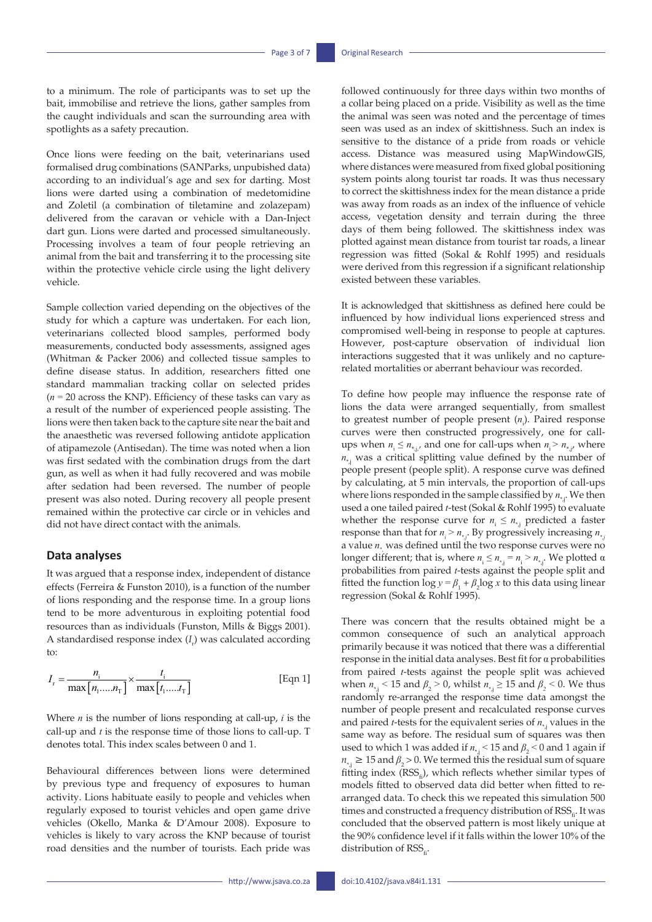to a minimum. The role of participants was to set up the bait, immobilise and retrieve the lions, gather samples from the caught individuals and scan the surrounding area with spotlights as a safety precaution.

Once lions were feeding on the bait, veterinarians used formalised drug combinations (SANParks, unpubished data) according to an individual's age and sex for darting. Most lions were darted using a combination of medetomidine and Zoletil (a combination of tiletamine and zolazepam) delivered from the caravan or vehicle with a Dan-Inject dart gun. Lions were darted and processed simultaneously. Processing involves a team of four people retrieving an animal from the bait and transferring it to the processing site within the protective vehicle circle using the light delivery vehicle.

Sample collection varied depending on the objectives of the study for which a capture was undertaken. For each lion, veterinarians collected blood samples, performed body measurements, conducted body assessments, assigned ages (Whitman & Packer 2006) and collected tissue samples to define disease status. In addition, researchers fitted one standard mammalian tracking collar on selected prides  $(n = 20 \text{ across the KNP})$ . Efficiency of these tasks can vary as a result of the number of experienced people assisting. The lions were then taken back to the capture site near the bait and the anaesthetic was reversed following antidote application of atipamezole (Antisedan). The time was noted when a lion was first sedated with the combination drugs from the dart gun, as well as when it had fully recovered and was mobile after sedation had been reversed. The number of people present was also noted. During recovery all people present remained within the protective car circle or in vehicles and did not have direct contact with the animals.

### **Data analyses**

It was argued that a response index, independent of distance effects (Ferreira & Funston 2010), is a function of the number of lions responding and the response time. In a group lions tend to be more adventurous in exploiting potential food resources than as individuals (Funston, Mills & Biggs 2001). A standardised response index (*I<sub>r</sub>*) was calculated according  $f$ <sup>o</sup>:

$$
I_{\rm r} = \frac{n_{\rm i}}{\max\left[n_{\rm 1} \dots n_{\rm T}\right]} \times \frac{t_{\rm i}}{\max\left[t_{\rm 1} \dots t_{\rm T}\right]}
$$
 [Eqn 1]

Where *n* is the number of lions responding at call-up, *i* is the call-up and *t* is the response time of those lions to call-up. T denotes total. This index scales between 0 and 1.

Behavioural differences between lions were determined by previous type and frequency of exposures to human activity. Lions habituate easily to people and vehicles when regularly exposed to tourist vehicles and open game drive vehicles (Okello, Manka & D'Amour 2008). Exposure to vehicles is likely to vary across the KNP because of tourist road densities and the number of tourists. Each pride was

followed continuously for three days within two months of a collar being placed on a pride. Visibility as well as the time the animal was seen was noted and the percentage of times seen was used as an index of skittishness. Such an index is sensitive to the distance of a pride from roads or vehicle access. Distance was measured using MapWindowGIS, where distances were measured from fixed global positioning system points along tourist tar roads. It was thus necessary to correct the skittishness index for the mean distance a pride was away from roads as an index of the influence of vehicle access, vegetation density and terrain during the three days of them being followed. The skittishness index was plotted against mean distance from tourist tar roads, a linear regression was fitted (Sokal & Rohlf 1995) and residuals were derived from this regression if a significant relationship existed between these variables.

It is acknowledged that skittishness as defined here could be influenced by how individual lions experienced stress and compromised well-being in response to people at captures. However, post-capture observation of individual lion interactions suggested that it was unlikely and no capturerelated mortalities or aberrant behaviour was recorded.

To define how people may influence the response rate of lions the data were arranged sequentially, from smallest to greatest number of people present (*n*<sub>i</sub>). Paired response curves were then constructed progressively, one for callups when  $n_i \leq n_{*,j'}$  and one for call-ups when  $n_i > n_{*,j'}$  where  $n_{\star}$ ; was a critical splitting value defined by the number of people present (people split). A response curve was defined by calculating, at 5 min intervals, the proportion of call-ups where lions responded in the sample classified by  $n_{**}$ . We then used a one tailed paired *t*-test (Sokal & Rohlf 1995) to evaluate whether the response curve for  $n_i \leq n_{*i}$  predicted a faster response than that for  $n_i > n_{\star,i}$ . By progressively increasing  $n_{\star,i}$ a value  $n_{*}$  was defined until the two response curves were no longer different; that is, where  $n_i \le n_{*,j} = n_i > n_{*,j}$ . We plotted  $\alpha$ probabilities from paired *t*-tests against the people split and fitted the function  $\log y = \beta_1 + \beta_2 \log x$  to this data using linear regression (Sokal & Rohlf 1995).

There was concern that the results obtained might be a common consequence of such an analytical approach primarily because it was noticed that there was a differential response in the initial data analyses. Best fit for α probabilities from paired *t*-tests against the people split was achieved when  $n_{*}$ , < 15 and  $\beta$ <sub>2</sub> > 0, whilst  $n_{*}$  ≥ 15 and  $\beta$ <sub>2</sub> < 0. We thus randomly re-arranged the response time data amongst the number of people present and recalculated response curves and paired *t*-tests for the equivalent series of  $n_{\ast}$ , values in the same way as before. The residual sum of squares was then used to which 1 was added if  $n_{*}$ ; < 15 and  $\beta$ <sub>2</sub> < 0 and 1 again if  $n_{*j} \geq 15$  and  $\beta_2 > 0$ . We termed this the residual sum of square fitting index  $(RSS<sub>e</sub>)$ , which reflects whether similar types of models fitted to observed data did better when fitted to rearranged data. To check this we repeated this simulation 500 times and constructed a frequency distribution of  $RSS_{e}$ . It was concluded that the observed pattern is most likely unique at the 90% confidence level if it falls within the lower 10% of the distribution of  $RSS<sub>e</sub>$ .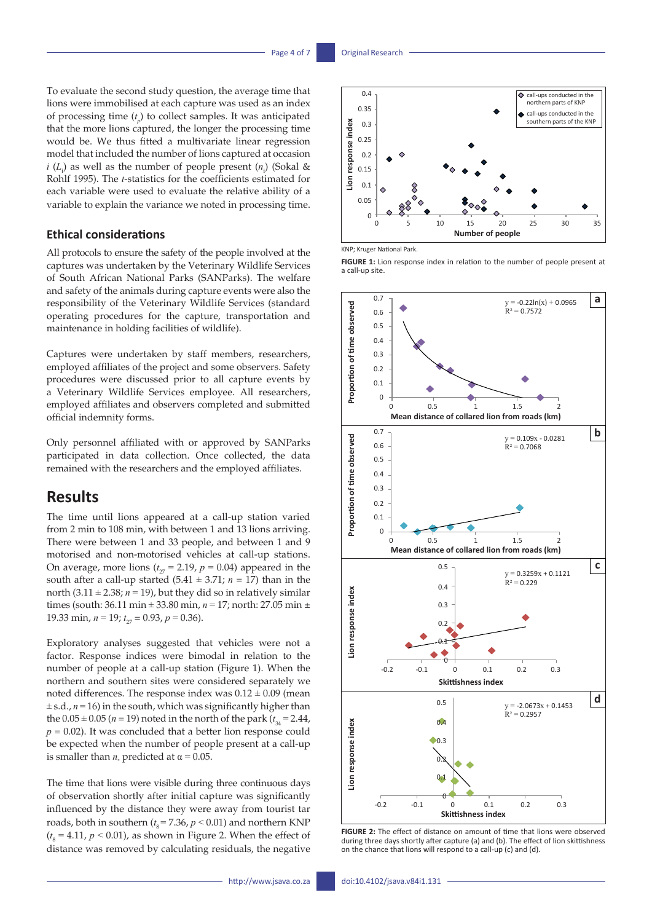To evaluate the second study question, the average time that lions were immobilised at each capture was used as an index of processing time  $(t_p)$  to collect samples. It was anticipated that the more lions captured, the longer the processing time would be. We thus fitted a multivariate linear regression model that included the number of lions captured at occasion *i* ( $L_i$ ) as well as the number of people present ( $n_i$ ) (Sokal & Rohlf 1995). The *t*-statistics for the coefficients estimated for  $\frac{2}{5}$   $\frac{1}{2}$   $\frac{2}{1}$ each variable were used to evaluate the relative ability of a variable to explain the variance we noted in processing time. **Lion**<br>Pt<br>Bion

0.3

0.3

### **Ethical considerations**

All protocols to ensure the safety of the people involved at the captures was undertaken by the Veterinary Wildlife Services of South African National Parks (SANParks). The welfare and safety of the animals during capture events were also the responsibility of the Veterinary Wildlife Services (standard operating procedures for the capture, transportation and maintenance in holding facilities of wildlife).

Captures were undertaken by staff members, researchers, employed affiliates of the project and some observers. Safety procedures were discussed prior to all capture events by a Veterinary Wildlife Services employee. All researchers, employed affiliates and observers completed and submitted official indemnity forms.

Only personnel affiliated with or approved by SANParks 0.6 participated in data collection. Once collected, the data remained with the researchers and the employed affiliates. 0.4

# **Results**

The time until lions appeared at a call-up station varied from 2 min to 108 min, with between 1 and 13 lions arriving. There were between 1 and 33 people, and between 1 and 9 motorised and non-motorised vehicles at call-up stations. On average, more lions  $(t_{27} = 2.19, p = 0.04)$  appeared in the south after a call-up started  $(5.41 \pm 3.71; n = 17)$  than in the north  $(3.11 \pm 2.38; n = 19)$ , but they did so in relatively similar times (south: 36.11 min ± 33.80 min, *n* = 17; north: 27.05 min ± 0.4 19.33 min,  $n = 19$ ;  $t_{27} = 0.93$ ,  $p = 0.36$ ).  $\frac{1}{2}$ 

Exploratory analyses suggested that vehicles were not a  $\frac{1}{1}$  factor. Response indices were bimodal in relation to the number of people at a call-up station (Figure 1). When the northern and southern sites were considered separately we 0 noted differences. The response index was  $0.12 \pm 0.09$  (mean  $\overline{0.5}$  $\pm$  s.d.,  $n = 16$ ) in the south, which was significantly higher than the  $0.05 \pm 0.05$  (*n* = 19) noted in the north of the park ( $t_{34}$  = 2.44,  $p = 0.02$ ). It was concluded that a better lion response could be expected when the number of people present at a call-up is smaller than  $n_*$  predicted at  $\alpha = 0.05$ .

The time that lions were visible during three continuous days of observation shortly after initial capture was significantly 0 influenced by the distance they were away from tourist tar  $\begin{array}{cccc} -0.2 & -0.1 & 0 & 0.1 & 0.2 & 0.3 \\ \text{c} & -0.1 & 0 & 0.1 & 0.2 & 0.3 \\ \end{array}$ roads, both in southern ( $t_s$  = 7.36,  $p$  < 0.01) and northern KNP  $(t<sub>8</sub> = 4.11, p < 0.01)$ , as shown in Figure 2. When the effect of distance was removed by calculating residuals, the negative



KNP; Kruger National Park.

**FIGURE 1:** Lion response index in relation to the number of people present at a call-up site.



**FIGURE 2:** The effect of distance on amount of time that lions were observed during three days shortly after capture (a) and (b). The effect of lion skittishness on the chance that lions will respond to a call-up (c) and (d).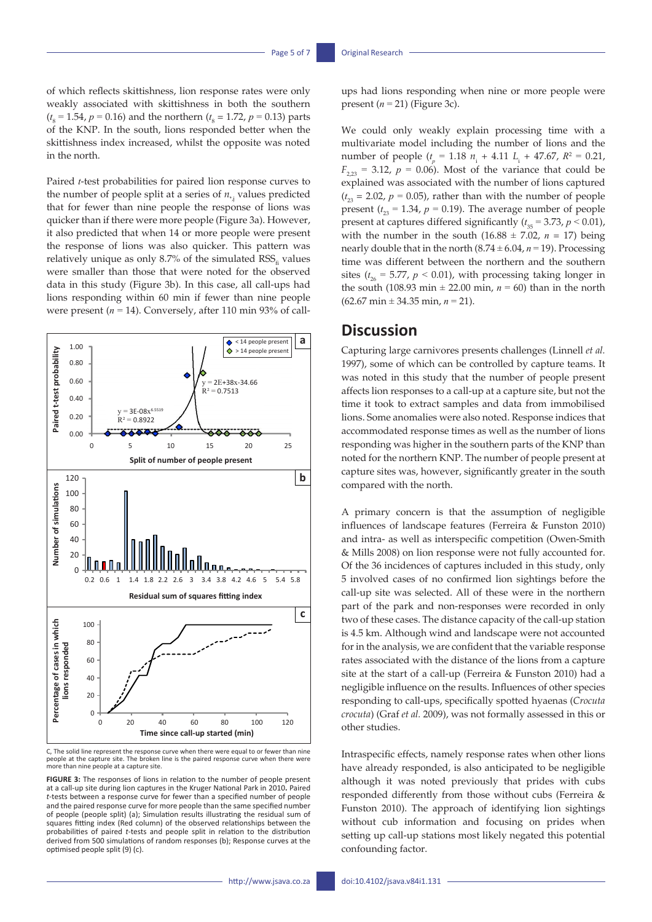of which reflects skittishness, lion response rates were only weakly associated with skittishness in both the southern  $(t<sub>8</sub> = 1.54, p = 0.16)$  and the northern  $(t<sub>8</sub> = 1.72, p = 0.13)$  parts of the KNP. In the south, lions responded better when the skittishness index increased, whilst the opposite was noted in the north.

Paired *t*-test probabilities for paired lion response curves to the number of people split at a series of  $n_{*j}$  values predicted that for fewer than nine people the response of lions was quicker than if there were more people (Figure 3a). However, it also predicted that when 14 or more people were present the response of lions was also quicker. This pattern was relatively unique as only 8.7% of the simulated  $RSS<sub>c</sub>$  values were smaller than those that were noted for the observed data in this study (Figure 3b). In this case, all call-ups had lions responding within 60 min if fewer than nine people were present  $(n = 14)$ . Conversely, after 110 min 93% of call-



C, The solid line represent the response curve when there were equal to or fewer than nine people at the capture site. The broken line is the paired response curve when there were more than nine people at a capture site.

**FIGURE 3:** The responses of lions in relation to the number of people present at a call-up site during lion captures in the Kruger National Park in 2010**.** Paired *t*-tests between a response curve for fewer than a specified number of people and the paired response curve for more people than the same specified number of people (people split) (a); Simulation results illustrating the residual sum of squares fitting index (Red column) of the observed relationships between the probabilities of paired *t*-tests and people split in relation to the distribution derived from 500 simulations of random responses (b); Response curves at the optimised people split (9) (c).

ups had lions responding when nine or more people were present  $(n = 21)$  (Figure 3c).

We could only weakly explain processing time with a multivariate model including the number of lions and the number of people  $(t_p = 1.18 \t n_i + 4.11 \t L_i + 47.67, R^2 = 0.21,$  $F_{2,23}$  = 3.12, *p* = 0.06). Most of the variance that could be explained was associated with the number of lions captured  $(t_{23} = 2.02, p = 0.05)$ , rather than with the number of people present ( $t_{23}$  = 1.34,  $p$  = 0.19). The average number of people present at captures differed significantly  $(t_{35} = 3.73, p \le 0.01)$ , with the number in the south  $(16.88 \pm 7.02, n = 17)$  being nearly double that in the north  $(8.74 \pm 6.04, n = 19)$ . Processing time was different between the northern and the southern sites  $(t_{26} = 5.77, p < 0.01)$ , with processing taking longer in the south (108.93 min  $\pm$  22.00 min,  $n = 60$ ) than in the north (62.67 min ± 34.35 min, *n* = 21).

# **Discussion**

Capturing large carnivores presents challenges (Linnell et al. 1997), some of which can be controlled by capture teams. It was noted in this study that the number of people present affects lion responses to a call-up at a capture site, but not the time it took to extract samples and data from immobilised lions. Some anomalies were also noted. Response indices that accommodated response times as well as the number of lions responding was higher in the southern parts of the KNP than noted for the northern KNP. The number of people present at capture sites was, however, significantly greater in the south compared with the north.

A primary concern is that the assumption of negligible influences of landscape features (Ferreira & Funston 2010) and intra- as well as interspecific competition (Owen-Smith & Mills 2008) on lion response were not fully accounted for. Of the 36 incidences of captures included in this study, only 5 involved cases of no confirmed lion sightings before the call-up site was selected. All of these were in the northern part of the park and non-responses were recorded in only two of these cases. The distance capacity of the call-up station is 4.5 km. Although wind and landscape were not accounted for in the analysis, we are confident that the variable response rates associated with the distance of the lions from a capture site at the start of a call-up (Ferreira & Funston 2010) had a negligible influence on the results. Influences of other species responding to call-ups, specifically spotted hyaenas (*Crocuta crocuta*) (Graf *et al.* 2009), was not formally assessed in this or other studies.

Intraspecific effects, namely response rates when other lions have already responded, is also anticipated to be negligible although it was noted previously that prides with cubs responded differently from those without cubs (Ferreira & Funston 2010). The approach of identifying lion sightings without cub information and focusing on prides when setting up call-up stations most likely negated this potential confounding factor.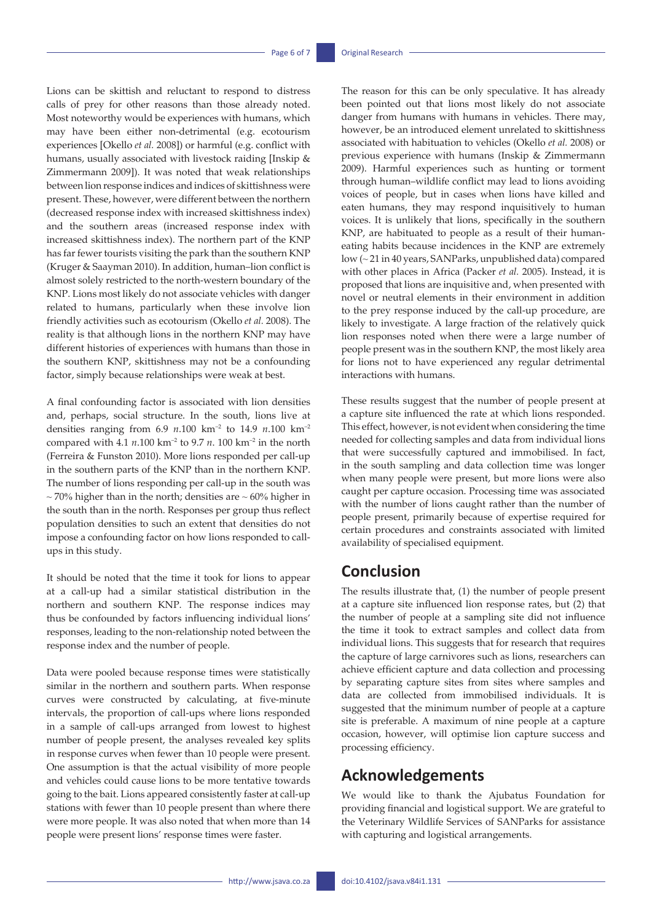Lions can be skittish and reluctant to respond to distress calls of prey for other reasons than those already noted. Most noteworthy would be experiences with humans, which may have been either non-detrimental (e.g. ecotourism experiences [Okello *et al.* 2008]) or harmful (e.g. conflict with humans, usually associated with livestock raiding [Inskip & Zimmermann 2009]). It was noted that weak relationships between lion response indices and indices of skittishness were present. These, however, were different between the northern (decreased response index with increased skittishness index) and the southern areas (increased response index with increased skittishness index). The northern part of the KNP has far fewer tourists visiting the park than the southern KNP (Kruger & Saayman 2010). In addition, human–lion conflict is almost solely restricted to the north-western boundary of the KNP. Lions most likely do not associate vehicles with danger related to humans, particularly when these involve lion friendly activities such as ecotourism (Okello *et al.* 2008). The reality is that although lions in the northern KNP may have different histories of experiences with humans than those in the southern KNP, skittishness may not be a confounding factor, simply because relationships were weak at best.

A final confounding factor is associated with lion densities and, perhaps, social structure. In the south, lions live at densities ranging from 6.9 *n*.100 km–2 to 14.9 *n*.100 km–2 compared with 4.1  $n.100 \text{ km}^{-2}$  to 9.7  $n. 100 \text{ km}^{-2}$  in the north (Ferreira & Funston 2010). More lions responded per call-up in the southern parts of the KNP than in the northern KNP. The number of lions responding per call-up in the south was  $\sim$  70% higher than in the north; densities are  $\sim$  60% higher in the south than in the north. Responses per group thus reflect population densities to such an extent that densities do not impose a confounding factor on how lions responded to callups in this study.

It should be noted that the time it took for lions to appear at a call-up had a similar statistical distribution in the northern and southern KNP. The response indices may thus be confounded by factors influencing individual lions' responses, leading to the non-relationship noted between the response index and the number of people.

Data were pooled because response times were statistically similar in the northern and southern parts. When response curves were constructed by calculating, at five-minute intervals, the proportion of call-ups where lions responded in a sample of call-ups arranged from lowest to highest number of people present, the analyses revealed key splits in response curves when fewer than 10 people were present. One assumption is that the actual visibility of more people and vehicles could cause lions to be more tentative towards going to the bait. Lions appeared consistently faster at call-up stations with fewer than 10 people present than where there were more people. It was also noted that when more than 14 people were present lions' response times were faster.

The reason for this can be only speculative. It has already been pointed out that lions most likely do not associate danger from humans with humans in vehicles. There may, however, be an introduced element unrelated to skittishness associated with habituation to vehicles (Okello *et al.* 2008) or previous experience with humans (Inskip & Zimmermann 2009). Harmful experiences such as hunting or torment through human–wildlife conflict may lead to lions avoiding voices of people, but in cases when lions have killed and eaten humans, they may respond inquisitively to human voices. It is unlikely that lions, specifically in the southern KNP, are habituated to people as a result of their humaneating habits because incidences in the KNP are extremely low (~ 21 in 40 years, SANParks, unpublished data) compared with other places in Africa (Packer *et al.* 2005). Instead, it is proposed that lions are inquisitive and, when presented with novel or neutral elements in their environment in addition to the prey response induced by the call-up procedure, are likely to investigate. A large fraction of the relatively quick lion responses noted when there were a large number of people present was in the southern KNP, the most likely area for lions not to have experienced any regular detrimental interactions with humans.

These results suggest that the number of people present at a capture site influenced the rate at which lions responded. This effect, however, is not evident when considering the time needed for collecting samples and data from individual lions that were successfully captured and immobilised. In fact, in the south sampling and data collection time was longer when many people were present, but more lions were also caught per capture occasion. Processing time was associated with the number of lions caught rather than the number of people present, primarily because of expertise required for certain procedures and constraints associated with limited availability of specialised equipment.

# **Conclusion**

The results illustrate that, (1) the number of people present at a capture site influenced lion response rates, but (2) that the number of people at a sampling site did not influence the time it took to extract samples and collect data from individual lions. This suggests that for research that requires the capture of large carnivores such as lions, researchers can achieve efficient capture and data collection and processing by separating capture sites from sites where samples and data are collected from immobilised individuals. It is suggested that the minimum number of people at a capture site is preferable. A maximum of nine people at a capture occasion, however, will optimise lion capture success and processing efficiency.

# **Acknowledgements**

We would like to thank the Ajubatus Foundation for providing financial and logistical support. We are grateful to the Veterinary Wildlife Services of SANParks for assistance with capturing and logistical arrangements.